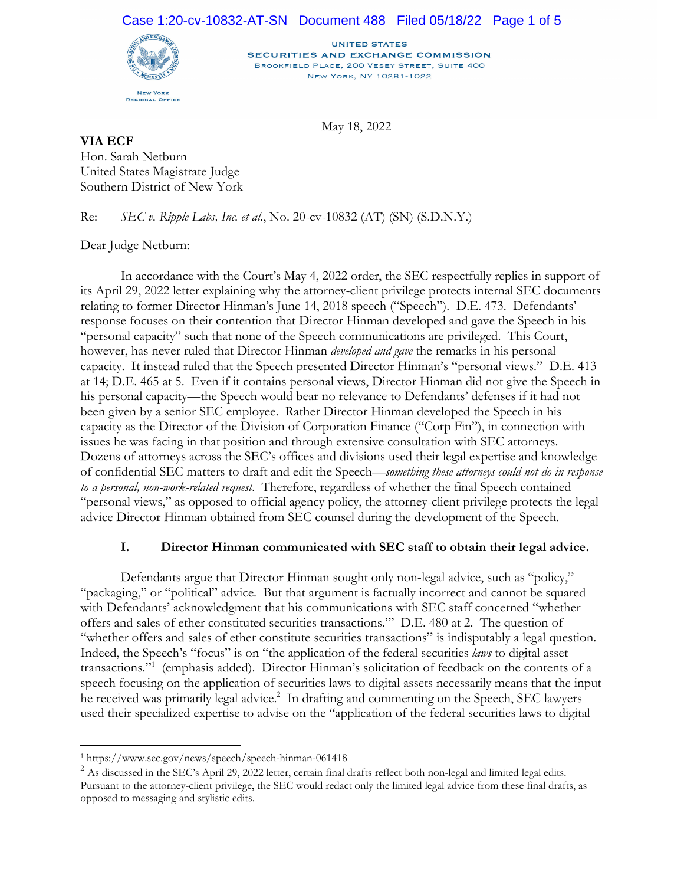#### Case 1:20-cv-10832-AT-SN Document 488 Filed 05/18/22 Page 1 of 5



**UNITED STATES SECURITIES AND EXCHANGE COMMISSION** BROOKFIELD PLACE, 200 VESEY STREET, SUITE 400 NEW YORK, NY 10281-1022

May 18, 2022

**VIA ECF**  Hon. Sarah Netburn United States Magistrate Judge Southern District of New York

Re: *SEC v. Ripple Labs, Inc. et al.*, No. 20-cv-10832 (AT) (SN) (S.D.N.Y.)

Dear Judge Netburn:

In accordance with the Court's May 4, 2022 order, the SEC respectfully replies in support of its April 29, 2022 letter explaining why the attorney-client privilege protects internal SEC documents relating to former Director Hinman's June 14, 2018 speech ("Speech"). D.E. 473. Defendants' response focuses on their contention that Director Hinman developed and gave the Speech in his "personal capacity" such that none of the Speech communications are privileged. This Court, however, has never ruled that Director Hinman *developed and gave* the remarks in his personal capacity. It instead ruled that the Speech presented Director Hinman's "personal views." D.E. 413 at 14; D.E. 465 at 5. Even if it contains personal views, Director Hinman did not give the Speech in his personal capacity—the Speech would bear no relevance to Defendants' defenses if it had not been given by a senior SEC employee. Rather Director Hinman developed the Speech in his capacity as the Director of the Division of Corporation Finance ("Corp Fin"), in connection with issues he was facing in that position and through extensive consultation with SEC attorneys. Dozens of attorneys across the SEC's offices and divisions used their legal expertise and knowledge of confidential SEC matters to draft and edit the Speech—*something these attorneys could not do in response to a personal, non-work-related request*. Therefore, regardless of whether the final Speech contained "personal views," as opposed to official agency policy, the attorney-client privilege protects the legal advice Director Hinman obtained from SEC counsel during the development of the Speech.

### **I. Director Hinman communicated with SEC staff to obtain their legal advice.**

 Defendants argue that Director Hinman sought only non-legal advice, such as "policy," "packaging," or "political" advice. But that argument is factually incorrect and cannot be squared with Defendants' acknowledgment that his communications with SEC staff concerned "whether offers and sales of ether constituted securities transactions*.*"' D.E. 480 at 2. The question of "whether offers and sales of ether constitute securities transactions" is indisputably a legal question. Indeed, the Speech's "focus" is on "the application of the federal securities *laws* to digital asset transactions."1 (emphasis added). Director Hinman's solicitation of feedback on the contents of a speech focusing on the application of securities laws to digital assets necessarily means that the input he received was primarily legal advice.<sup>2</sup> In drafting and commenting on the Speech, SEC lawyers used their specialized expertise to advise on the "application of the federal securities laws to digital

l

<sup>&</sup>lt;sup>1</sup> https://www.sec.gov/news/speech/speech-hinman-061418<br><sup>2</sup> As discussed in the SEC's April 29, 2022 letter, certain final drafts reflect both non-legal and limited legal edits. Pursuant to the attorney-client privilege, the SEC would redact only the limited legal advice from these final drafts, as opposed to messaging and stylistic edits.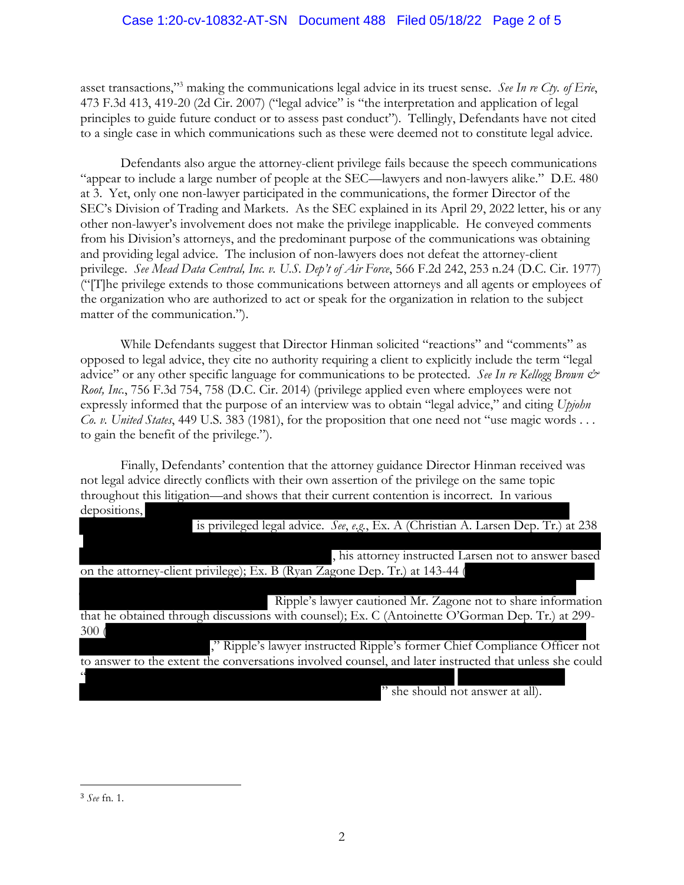asset transactions,"3 making the communications legal advice in its truest sense. *See In re Cty. of Erie*, 473 F.3d 413, 419-20 (2d Cir. 2007) ("legal advice" is "the interpretation and application of legal principles to guide future conduct or to assess past conduct"). Tellingly, Defendants have not cited to a single case in which communications such as these were deemed not to constitute legal advice.

Defendants also argue the attorney-client privilege fails because the speech communications "appear to include a large number of people at the SEC—lawyers and non-lawyers alike." D.E. 480 at 3. Yet, only one non-lawyer participated in the communications, the former Director of the SEC's Division of Trading and Markets. As the SEC explained in its April 29, 2022 letter, his or any other non-lawyer's involvement does not make the privilege inapplicable. He conveyed comments from his Division's attorneys, and the predominant purpose of the communications was obtaining and providing legal advice. The inclusion of non-lawyers does not defeat the attorney-client privilege. *See Mead Data Central, Inc. v. U.S. Dep't of Air Force*, 566 F.2d 242, 253 n.24 (D.C. Cir. 1977) ("[T]he privilege extends to those communications between attorneys and all agents or employees of the organization who are authorized to act or speak for the organization in relation to the subject matter of the communication.").

While Defendants suggest that Director Hinman solicited "reactions" and "comments" as opposed to legal advice, they cite no authority requiring a client to explicitly include the term "legal advice" or any other specific language for communications to be protected. *See In re Kellogg Brown & Root, Inc.*, 756 F.3d 754, 758 (D.C. Cir. 2014) (privilege applied even where employees were not expressly informed that the purpose of an interview was to obtain "legal advice," and citing *Upjohn Co. v. United States*, 449 U.S. 383 (1981), for the proposition that one need not "use magic words . . . to gain the benefit of the privilege.").

Finally, Defendants' contention that the attorney guidance Director Hinman received was not legal advice directly conflicts with their own assertion of the privilege on the same topic throughout this litigation—and shows that their current contention is incorrect. In various depositions,

| is privileged legal advice. See, e.g., Ex. A (Christian A. Larsen Dep. Tr.) at 238                     |
|--------------------------------------------------------------------------------------------------------|
|                                                                                                        |
| , his attorney instructed Larsen not to answer based                                                   |
| on the attorney-client privilege); Ex. B (Ryan Zagone Dep. Tr.) at 143-44 (                            |
|                                                                                                        |
| Ripple's lawyer cautioned Mr. Zagone not to share information                                          |
| that he obtained through discussions with counsel); Ex. C (Antoinette O'Gorman Dep. Tr.) at 299-       |
| 300 <sub>0</sub>                                                                                       |
| ," Ripple's lawyer instructed Ripple's former Chief Compliance Officer not                             |
| to answer to the extent the conversations involved counsel, and later instructed that unless she could |
|                                                                                                        |
| " she should not answer at all).                                                                       |

<sup>3</sup> *See* fn. 1.

 $\overline{a}$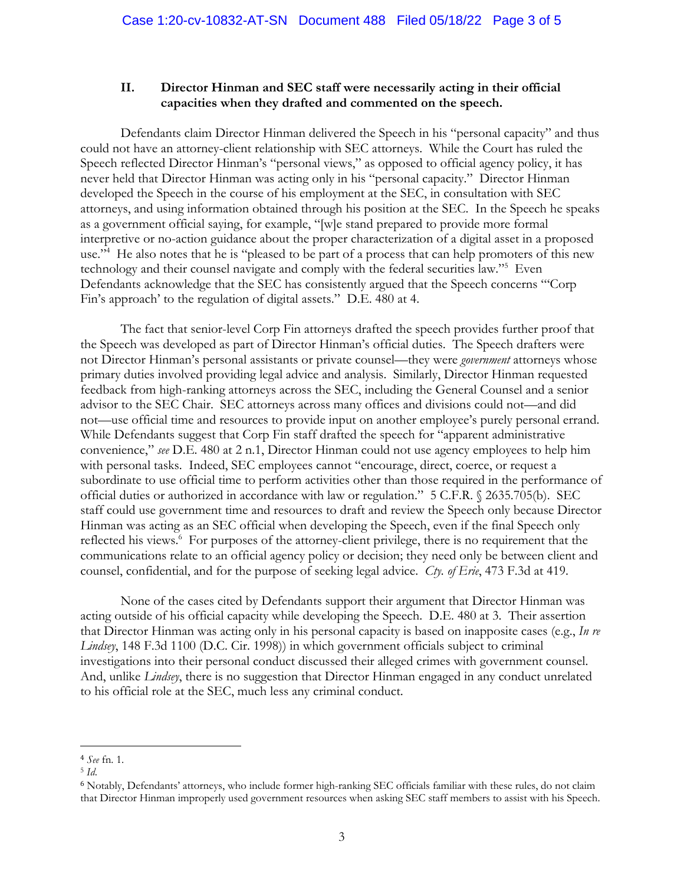### **II. Director Hinman and SEC staff were necessarily acting in their official capacities when they drafted and commented on the speech.**

Defendants claim Director Hinman delivered the Speech in his "personal capacity" and thus could not have an attorney-client relationship with SEC attorneys. While the Court has ruled the Speech reflected Director Hinman's "personal views," as opposed to official agency policy, it has never held that Director Hinman was acting only in his "personal capacity." Director Hinman developed the Speech in the course of his employment at the SEC, in consultation with SEC attorneys, and using information obtained through his position at the SEC. In the Speech he speaks as a government official saying, for example, "[w]e stand prepared to provide more formal interpretive or no-action guidance about the proper characterization of a digital asset in a proposed use."<sup>4</sup> He also notes that he is "pleased to be part of a process that can help promoters of this new technology and their counsel navigate and comply with the federal securities law."5 Even Defendants acknowledge that the SEC has consistently argued that the Speech concerns "'Corp Fin's approach' to the regulation of digital assets." D.E. 480 at 4.

The fact that senior-level Corp Fin attorneys drafted the speech provides further proof that the Speech was developed as part of Director Hinman's official duties. The Speech drafters were not Director Hinman's personal assistants or private counsel—they were *government* attorneys whose primary duties involved providing legal advice and analysis. Similarly, Director Hinman requested feedback from high-ranking attorneys across the SEC, including the General Counsel and a senior advisor to the SEC Chair. SEC attorneys across many offices and divisions could not—and did not—use official time and resources to provide input on another employee's purely personal errand. While Defendants suggest that Corp Fin staff drafted the speech for "apparent administrative convenience," *see* D.E. 480 at 2 n.1, Director Hinman could not use agency employees to help him with personal tasks. Indeed, SEC employees cannot "encourage, direct, coerce, or request a subordinate to use official time to perform activities other than those required in the performance of official duties or authorized in accordance with law or regulation." 5 C.F.R. § 2635.705(b). SEC staff could use government time and resources to draft and review the Speech only because Director Hinman was acting as an SEC official when developing the Speech, even if the final Speech only reflected his views.<sup>6</sup> For purposes of the attorney-client privilege, there is no requirement that the communications relate to an official agency policy or decision; they need only be between client and counsel, confidential, and for the purpose of seeking legal advice. *Cty. of Erie*, 473 F.3d at 419.

None of the cases cited by Defendants support their argument that Director Hinman was acting outside of his official capacity while developing the Speech. D.E. 480 at 3. Their assertion that Director Hinman was acting only in his personal capacity is based on inapposite cases (e.g., *In re Lindsey*, 148 F.3d 1100 (D.C. Cir. 1998)) in which government officials subject to criminal investigations into their personal conduct discussed their alleged crimes with government counsel. And, unlike *Lindsey*, there is no suggestion that Director Hinman engaged in any conduct unrelated to his official role at the SEC, much less any criminal conduct.

<sup>1</sup> <sup>4</sup> *See* fn. 1. 5 *Id*.

<sup>6</sup> Notably, Defendants' attorneys, who include former high-ranking SEC officials familiar with these rules, do not claim that Director Hinman improperly used government resources when asking SEC staff members to assist with his Speech.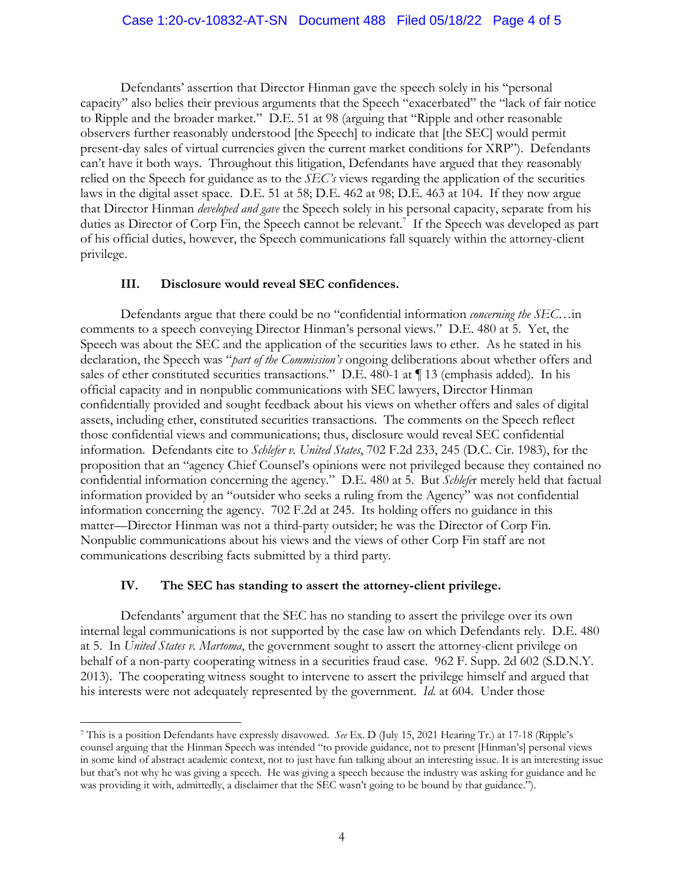Defendants' assertion that Director Hinman gave the speech solely in his "personal capacity" also belies their previous arguments that the Speech "exacerbated" the "lack of fair notice to Ripple and the broader market." D.E. 51 at 98 (arguing that "Ripple and other reasonable observers further reasonably understood [the Speech] to indicate that [the SEC] would permit present-day sales of virtual currencies given the current market conditions for XRP"). Defendants can't have it both ways. Throughout this litigation, Defendants have argued that they reasonably relied on the Speech for guidance as to the *SEC's* views regarding the application of the securities laws in the digital asset space. D.E. 51 at 58; D.E. 462 at 98; D.E. 463 at 104. If they now argue that Director Hinman *developed and gave* the Speech solely in his personal capacity, separate from his duties as Director of Corp Fin, the Speech cannot be relevant.<sup>7</sup> If the Speech was developed as part of his official duties, however, the Speech communications fall squarely within the attorney-client privilege.

#### **III. Disclosure would reveal SEC confidences.**

Defendants argue that there could be no "confidential information *concerning the SEC*…in comments to a speech conveying Director Hinman's personal views." D.E. 480 at 5. Yet, the Speech was about the SEC and the application of the securities laws to ether. As he stated in his declaration, the Speech was "*part of the Commission's* ongoing deliberations about whether offers and sales of ether constituted securities transactions." D.E. 480-1 at ¶ 13 (emphasis added). In his official capacity and in nonpublic communications with SEC lawyers, Director Hinman confidentially provided and sought feedback about his views on whether offers and sales of digital assets, including ether, constituted securities transactions. The comments on the Speech reflect those confidential views and communications; thus, disclosure would reveal SEC confidential information. Defendants cite to *Schlefer v. United States*, 702 F.2d 233, 245 (D.C. Cir. 1983), for the proposition that an "agency Chief Counsel's opinions were not privileged because they contained no confidential information concerning the agency." D.E. 480 at 5. But *Schlefe*r merely held that factual information provided by an "outsider who seeks a ruling from the Agency" was not confidential information concerning the agency. 702 F.2d at 245. Its holding offers no guidance in this matter—Director Hinman was not a third-party outsider; he was the Director of Corp Fin. Nonpublic communications about his views and the views of other Corp Fin staff are not communications describing facts submitted by a third party.

#### **IV. The SEC has standing to assert the attorney-client privilege.**

 $\overline{a}$ 

Defendants' argument that the SEC has no standing to assert the privilege over its own internal legal communications is not supported by the case law on which Defendants rely. D.E. 480 at 5. In *United States v. Martoma*, the government sought to assert the attorney-client privilege on behalf of a non-party cooperating witness in a securities fraud case. 962 F. Supp. 2d 602 (S.D.N.Y. 2013). The cooperating witness sought to intervene to assert the privilege himself and argued that his interests were not adequately represented by the government. *Id.* at 604. Under those

<sup>7</sup> This is a position Defendants have expressly disavowed. *See* Ex. D (July 15, 2021 Hearing Tr.) at 17-18 (Ripple's counsel arguing that the Hinman Speech was intended "to provide guidance, not to present [Hinman's] personal views in some kind of abstract academic context, not to just have fun talking about an interesting issue. It is an interesting issue but that's not why he was giving a speech. He was giving a speech because the industry was asking for guidance and he was providing it with, admittedly, a disclaimer that the SEC wasn't going to be bound by that guidance.").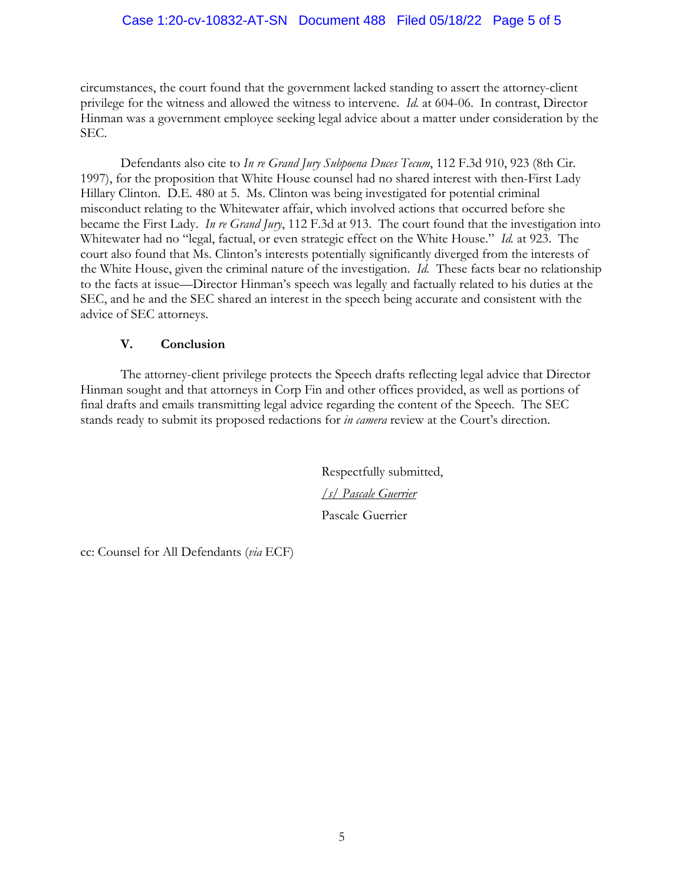### Case 1:20-cv-10832-AT-SN Document 488 Filed 05/18/22 Page 5 of 5

circumstances, the court found that the government lacked standing to assert the attorney-client privilege for the witness and allowed the witness to intervene. *Id.* at 604-06.In contrast, Director Hinman was a government employee seeking legal advice about a matter under consideration by the SEC.

Defendants also cite to *In re Grand Jury Subpoena Duces Tecum*, 112 F.3d 910, 923 (8th Cir. 1997), for the proposition that White House counsel had no shared interest with then-First Lady Hillary Clinton. D.E. 480 at 5. Ms. Clinton was being investigated for potential criminal misconduct relating to the Whitewater affair, which involved actions that occurred before she became the First Lady. *In re Grand Jury*, 112 F.3d at 913. The court found that the investigation into Whitewater had no "legal, factual, or even strategic effect on the White House." *Id.* at 923. The court also found that Ms. Clinton's interests potentially significantly diverged from the interests of the White House, given the criminal nature of the investigation. *Id.* These facts bear no relationship to the facts at issue—Director Hinman's speech was legally and factually related to his duties at the SEC, and he and the SEC shared an interest in the speech being accurate and consistent with the advice of SEC attorneys.

### **V. Conclusion**

The attorney-client privilege protects the Speech drafts reflecting legal advice that Director Hinman sought and that attorneys in Corp Fin and other offices provided, as well as portions of final drafts and emails transmitting legal advice regarding the content of the Speech. The SEC stands ready to submit its proposed redactions for *in camera* review at the Court's direction.

> Respectfully submitted, */s/ Pascale Guerrier* Pascale Guerrier

cc: Counsel for All Defendants (*via* ECF)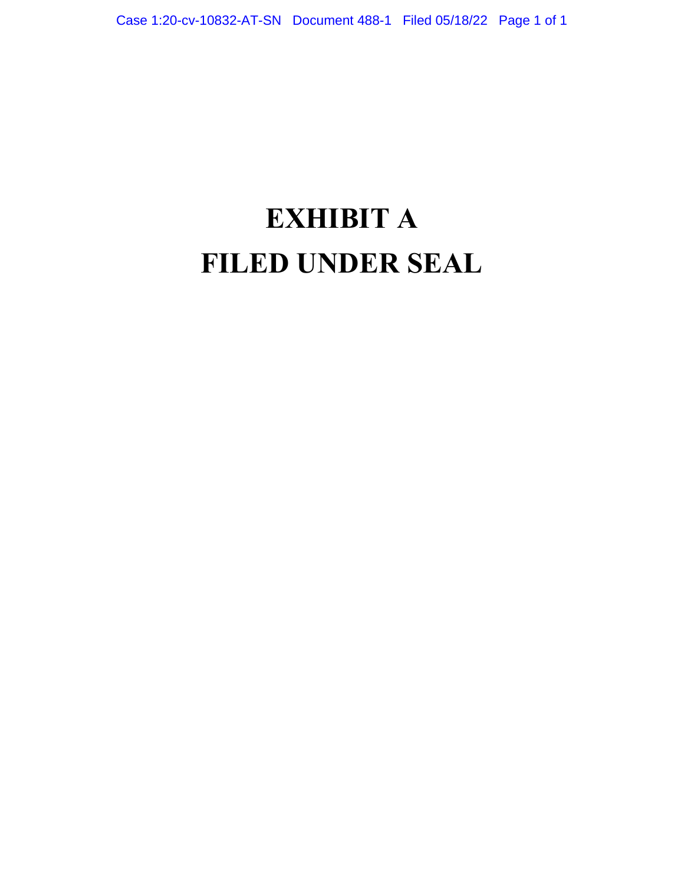# **EXHIBIT A FILED UNDER SEAL**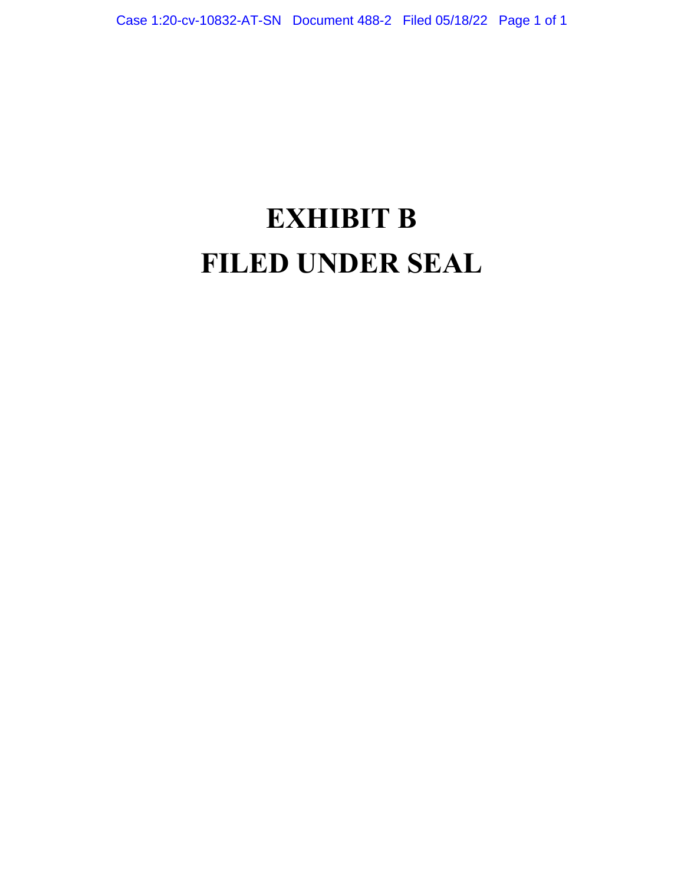# **EXHIBIT B FILED UNDER SEAL**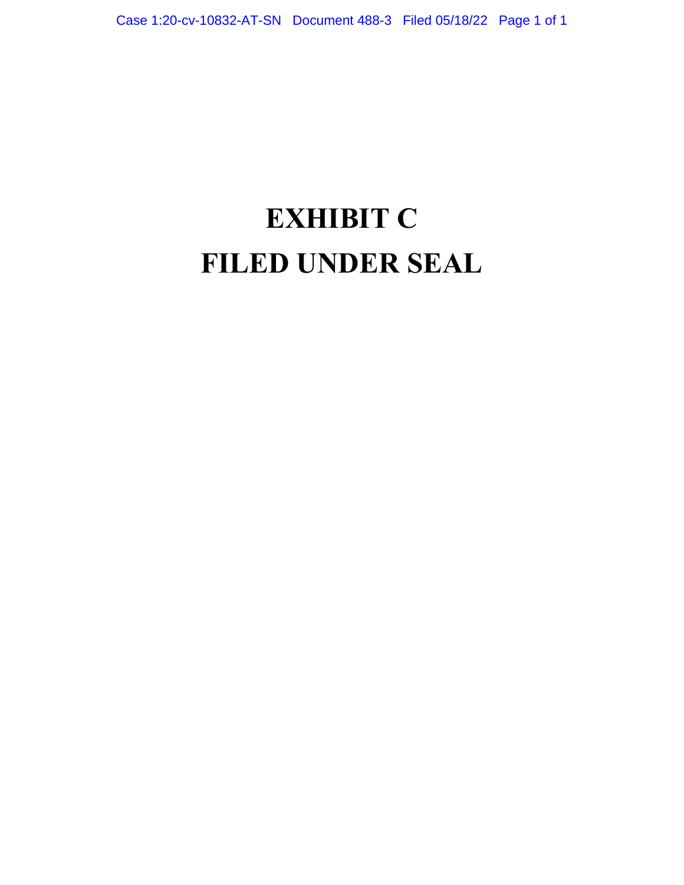# **EXHIBIT C FILED UNDER SEAL**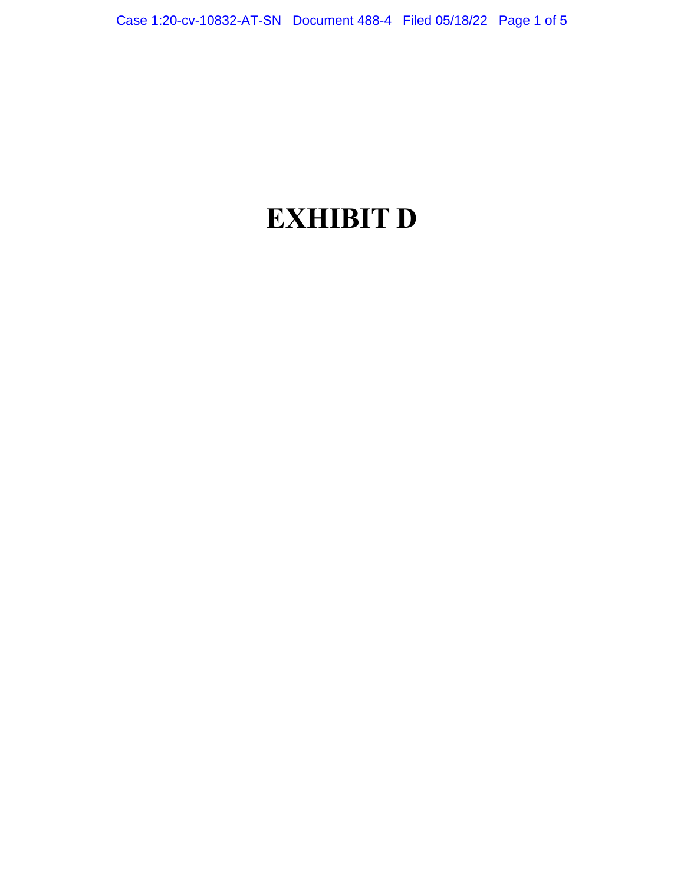## **EXHIBIT D**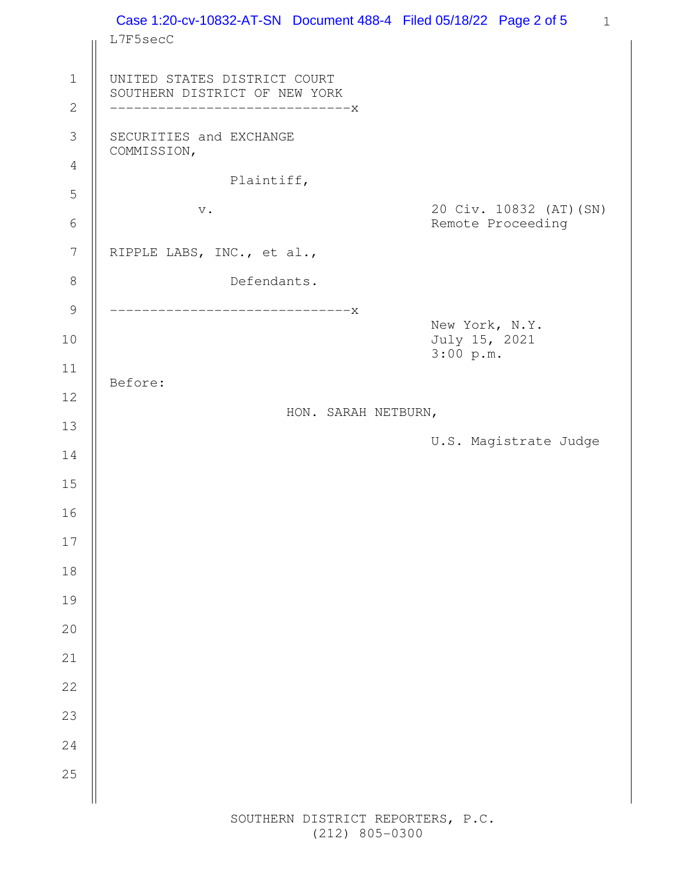| L7F5secC                                                      |             | Case 1:20-cv-10832-AT-SN  Document 488-4  Filed 05/18/22  Page 2 of 5 |                                 |                         |
|---------------------------------------------------------------|-------------|-----------------------------------------------------------------------|---------------------------------|-------------------------|
|                                                               |             |                                                                       |                                 |                         |
| UNITED STATES DISTRICT COURT<br>SOUTHERN DISTRICT OF NEW YORK |             |                                                                       |                                 |                         |
| ------------------------------X                               |             |                                                                       |                                 |                         |
| SECURITIES and EXCHANGE<br>COMMISSION,                        |             |                                                                       |                                 |                         |
|                                                               | Plaintiff,  |                                                                       |                                 |                         |
|                                                               |             |                                                                       |                                 | 20 Civ. 10832 (AT) (SN) |
| $\mathbf v$ .                                                 |             |                                                                       |                                 | Remote Proceeding       |
| RIPPLE LABS, INC., et al.,                                    |             |                                                                       |                                 |                         |
|                                                               | Defendants. |                                                                       |                                 |                         |
| ------------------------------X                               |             |                                                                       |                                 |                         |
|                                                               |             |                                                                       | New York, N.Y.<br>July 15, 2021 |                         |
|                                                               |             |                                                                       | 3:00 p.m.                       |                         |
| Before:                                                       |             |                                                                       |                                 |                         |
|                                                               |             | HON. SARAH NETBURN,                                                   |                                 |                         |
|                                                               |             |                                                                       |                                 | U.S. Magistrate Judge   |
|                                                               |             |                                                                       |                                 |                         |
|                                                               |             |                                                                       |                                 |                         |
|                                                               |             |                                                                       |                                 |                         |
|                                                               |             |                                                                       |                                 |                         |
|                                                               |             |                                                                       |                                 |                         |
|                                                               |             |                                                                       |                                 |                         |
|                                                               |             |                                                                       |                                 |                         |
|                                                               |             |                                                                       |                                 |                         |
|                                                               |             |                                                                       |                                 |                         |
|                                                               |             |                                                                       |                                 |                         |
|                                                               |             |                                                                       |                                 |                         |
|                                                               |             |                                                                       |                                 |                         |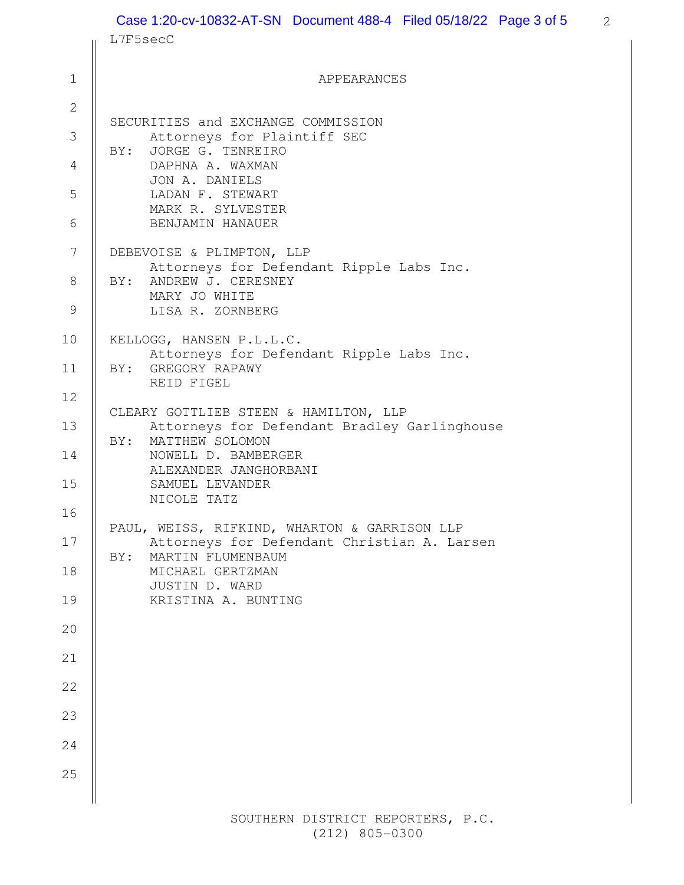|                | Case 1:20-cv-10832-AT-SN  Document 488-4  Filed 05/18/22  Page 3 of 5                         | 2 |  |  |  |  |
|----------------|-----------------------------------------------------------------------------------------------|---|--|--|--|--|
|                | L7F5secC                                                                                      |   |  |  |  |  |
| $\mathbf 1$    | APPEARANCES                                                                                   |   |  |  |  |  |
| $\mathbf{2}$   |                                                                                               |   |  |  |  |  |
| 3              | SECURITIES and EXCHANGE COMMISSION<br>Attorneys for Plaintiff SEC<br>JORGE G. TENREIRO<br>BY: |   |  |  |  |  |
| 4              | DAPHNA A. WAXMAN<br>JON A. DANIELS                                                            |   |  |  |  |  |
| 5              | LADAN F. STEWART<br>MARK R. SYLVESTER                                                         |   |  |  |  |  |
| 6              | BENJAMIN HANAUER                                                                              |   |  |  |  |  |
| $\overline{7}$ | DEBEVOISE & PLIMPTON, LLP<br>Attorneys for Defendant Ripple Labs Inc.                         |   |  |  |  |  |
| 8              | BY: ANDREW J. CERESNEY<br>MARY JO WHITE                                                       |   |  |  |  |  |
| $\mathcal{G}$  | LISA R. ZORNBERG                                                                              |   |  |  |  |  |
| 10             | KELLOGG, HANSEN P.L.L.C.<br>Attorneys for Defendant Ripple Labs Inc.                          |   |  |  |  |  |
| 11             | BY: GREGORY RAPAWY<br>REID FIGEL                                                              |   |  |  |  |  |
| 12<br>13       | CLEARY GOTTLIEB STEEN & HAMILTON, LLP<br>Attorneys for Defendant Bradley Garlinghouse         |   |  |  |  |  |
| 14             | MATTHEW SOLOMON<br>BY:<br>NOWELL D. BAMBERGER                                                 |   |  |  |  |  |
| 15             | ALEXANDER JANGHORBANI<br>SAMUEL LEVANDER<br>NICOLE TATZ                                       |   |  |  |  |  |
| 16             | PAUL, WEISS, RIFKIND, WHARTON & GARRISON LLP                                                  |   |  |  |  |  |
| 17             | Attorneys for Defendant Christian A. Larsen<br>MARTIN FLUMENBAUM<br>BY:                       |   |  |  |  |  |
| 18             | MICHAEL GERTZMAN<br>JUSTIN D. WARD                                                            |   |  |  |  |  |
| 19             | KRISTINA A. BUNTING                                                                           |   |  |  |  |  |
| 20             |                                                                                               |   |  |  |  |  |
| 21             |                                                                                               |   |  |  |  |  |
| 22             |                                                                                               |   |  |  |  |  |
| 23             |                                                                                               |   |  |  |  |  |
| 24             |                                                                                               |   |  |  |  |  |
| 25             |                                                                                               |   |  |  |  |  |

 SOUTHERN DISTRICT REPORTERS, P.C. (212) 805-0300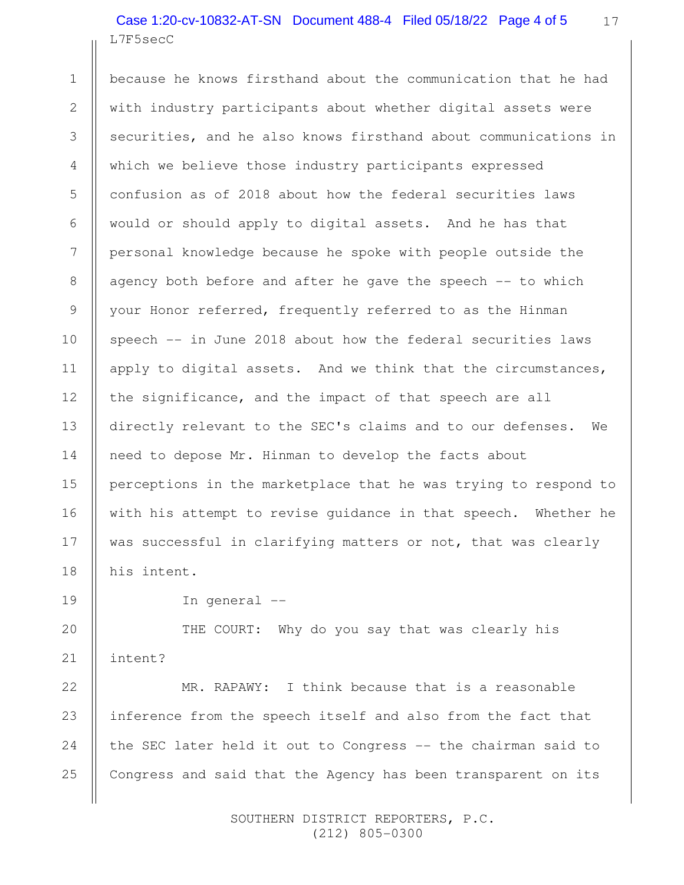17 L7F5secC Case 1:20-cv-10832-AT-SN Document 488-4 Filed 05/18/22 Page 4 of 5

because he knows firsthand about the communication that he had with industry participants about whether digital assets were securities, and he also knows firsthand about communications in which we believe those industry participants expressed confusion as of 2018 about how the federal securities laws would or should apply to digital assets. And he has that personal knowledge because he spoke with people outside the agency both before and after he gave the speech -- to which your Honor referred, frequently referred to as the Hinman speech -- in June 2018 about how the federal securities laws apply to digital assets. And we think that the circumstances, the significance, and the impact of that speech are all directly relevant to the SEC's claims and to our defenses. We need to depose Mr. Hinman to develop the facts about perceptions in the marketplace that he was trying to respond to with his attempt to revise guidance in that speech. Whether he was successful in clarifying matters or not, that was clearly his intent. 7 17

In general --

1

2

3

4

5

6

8

9

10

11

12

13

14

15

16

18

19

THE COURT: Why do you say that was clearly his intent? 20 21

MR. RAPAWY: I think because that is a reasonable inference from the speech itself and also from the fact that the SEC later held it out to Congress -- the chairman said to Congress and said that the Agency has been transparent on its 22 23 24 25

> SOUTHERN DISTRICT REPORTERS, P.C. (212) 805-0300